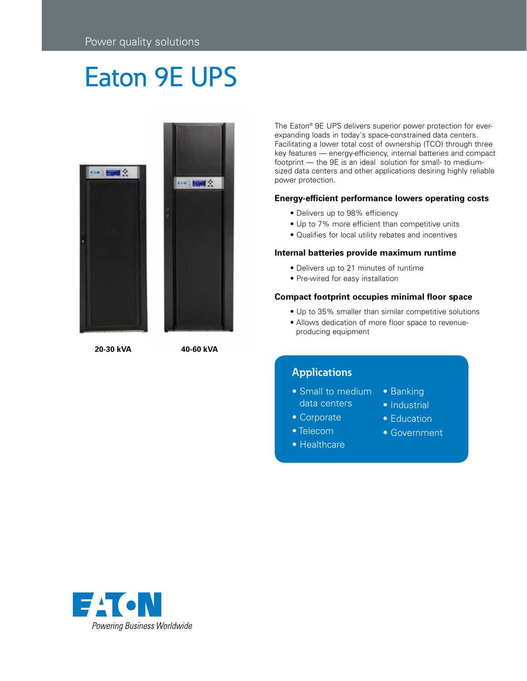# Eaton 9E UPS





**20-30 kVA 40-60 kVA**

The Eaton® 9E UPS delivers superior power protection for everexpanding loads in today's space-constrained data centers. Facilitating a lower total cost of ownership (TCO) through three key features — energy-efficiency, internal batteries and compact footprint — the 9E is an ideal solution for small- to mediumsized data centers and other applications desiring highly reliable power protection.

## **Energy-efficient performance lowers operating costs**

- Delivers up to 98% efficiency
- Up to 7% more efficient than competitive units
- Qualifies for local utility rebates and incentives

#### **Internal batteries provide maximum runtime**

- Delivers up to 21 minutes of runtime
- Pre-wired for easy installation

#### **Compact footprint occupies minimal floor space**

- Up to 35% smaller than similar competitive solutions
- Allows dedication of more floor space to revenueproducing equipment

# **Applications**

- Small to medium data centers • Banking
	- Industrial

• Education

- Corporate
- Telecom
	- Government
- Healthcare

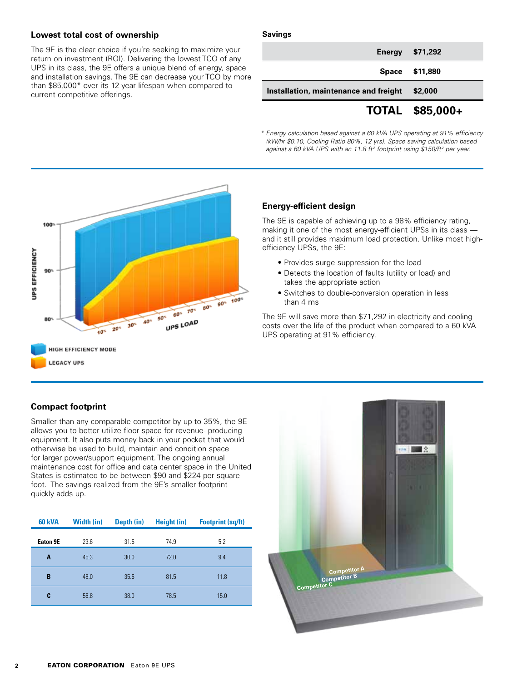## **Lowest total cost of ownership**

The 9E is the clear choice if you're seeking to maximize your return on investment (ROI). Delivering the lowest TCO of any UPS in its class, the 9E offers a unique blend of energy, space and installation savings. The 9E can decrease your TCO by more than \$85,000\* over its 12-year lifespan when compared to current competitive offerings.

#### **Savings**

|                                       | TOTAL \$85,000+ |
|---------------------------------------|-----------------|
| Installation, maintenance and freight | \$2,000         |
|                                       | Space \$11,880  |
|                                       | Energy \$71,292 |

*\* Energy calculation based against a 60 kVA UPS operating at 91% efficiency (kW/hr \$0.10, Cooling Ratio 80%, 12 yrs). Space saving calculation based*  against a 60 kVA UPS with an 11.8 ft<sup>2</sup> footprint using \$150/ft<sup>2</sup> per year.



## **Energy-efficient design**

The 9E is capable of achieving up to a 98% efficiency rating, making it one of the most energy-efficient UPSs in its class and it still provides maximum load protection. Unlike most highefficiency UPSs, the 9E:

- Provides surge suppression for the load
- Detects the location of faults (utility or load) and takes the appropriate action
- Switches to double-conversion operation in less than 4 ms

The 9E will save more than \$71,292 in electricity and cooling costs over the life of the product when compared to a 60 kVA UPS operating at 91% efficiency.

## **Compact footprint**

Smaller than any comparable competitor by up to 35%, the 9E allows you to better utilize floor space for revenue- producing equipment. It also puts money back in your pocket that would otherwise be used to build, maintain and condition space for larger power/support equipment. The ongoing annual maintenance cost for office and data center space in the United States is estimated to be between \$90 and \$224 per square foot. The savings realized from the 9E's smaller footprint quickly adds up.

| <b>60 kVA</b> | <b>Width (in)</b> | Depth (in) | <b>Height (in)</b> | <b>Footprint (sq/ft)</b> |
|---------------|-------------------|------------|--------------------|--------------------------|
| Eaton 9E      | 23.6              | 31.5       | 74.9               | 5.2                      |
| A             | 45.3              | 30.0       | 72.0               | 9.4                      |
| B             | 48.0              | 35.5       | 81.5               | 11.8                     |
| C             | 56.8              | 38.0       | 78.5               | 15.0                     |

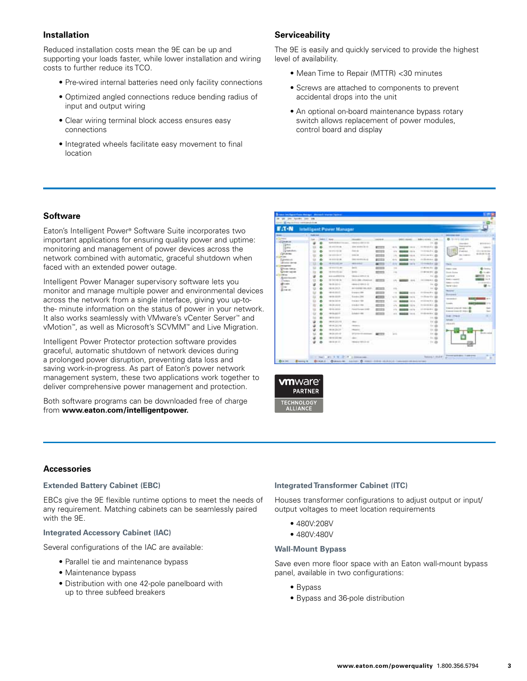## **Installation**

Reduced installation costs mean the 9E can be up and supporting your loads faster, while lower installation and wiring costs to further reduce its TCO.

- Pre-wired internal batteries need only facility connections
- Optimized angled connections reduce bending radius of input and output wiring
- Clear wiring terminal block access ensures easy connections
- Integrated wheels facilitate easy movement to final location

## **Serviceability**

The 9E is easily and quickly serviced to provide the highest level of availability.

- Mean Time to Repair (MTTR) <30 minutes
- Screws are attached to components to prevent accidental drops into the unit
- An optional on-board maintenance bypass rotary switch allows replacement of power modules, control board and display

## **Software**

Eaton's Intelligent Power® Software Suite incorporates two important applications for ensuring quality power and uptime: monitoring and management of power devices across the network combined with automatic, graceful shutdown when faced with an extended power outage.

Intelligent Power Manager supervisory software lets you monitor and manage multiple power and environmental devices across the network from a single interface, giving you up-tothe- minute information on the status of power in your network. It also works seamlessly with VMware's vCenter Server™ and vMotion™, as well as Microsoft's SCVMM™ and Live Migration.

Intelligent Power Protector protection software provides graceful, automatic shutdown of network devices during a prolonged power disruption, preventing data loss and saving work-in-progress. As part of Eaton's power network management system, these two applications work together to deliver comprehensive power management and protection.

Both software programs can be downloaded free of charge from **www.eaton.com/intelligentpower.**





#### **Accessories**

#### **Extended Battery Cabinet (EBC)**

EBCs give the 9E flexible runtime options to meet the needs of any requirement. Matching cabinets can be seamlessly paired with the 9E.

#### **Integrated Accessory Cabinet (IAC)**

Several configurations of the IAC are available:

- Parallel tie and maintenance bypass
- Maintenance bypass
- Distribution with one 42-pole panelboard with up to three subfeed breakers

#### **Integrated Transformer Cabinet (ITC)**

Houses transformer configurations to adjust output or input/ output voltages to meet location requirements

- 480V:208V
- 480V:480V

#### **Wall-Mount Bypass**

Save even more floor space with an Eaton wall-mount bypass panel, available in two configurations:

- Bypass
- Bypass and 36-pole distribution